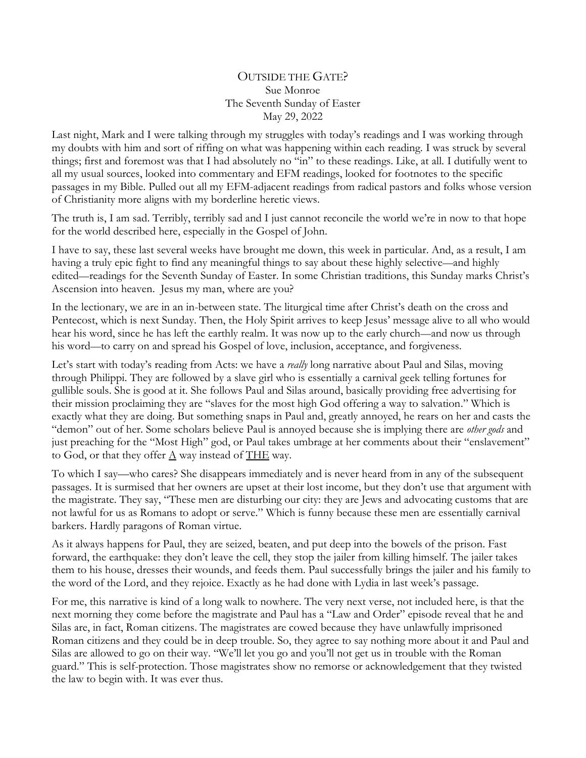## OUTSIDE THE GATE? Sue Monroe The Seventh Sunday of Easter May 29, 2022

Last night, Mark and I were talking through my struggles with today's readings and I was working through my doubts with him and sort of riffing on what was happening within each reading. I was struck by several things; first and foremost was that I had absolutely no "in" to these readings. Like, at all. I dutifully went to all my usual sources, looked into commentary and EFM readings, looked for footnotes to the specific passages in my Bible. Pulled out all my EFM-adjacent readings from radical pastors and folks whose version of Christianity more aligns with my borderline heretic views.

The truth is, I am sad. Terribly, terribly sad and I just cannot reconcile the world we're in now to that hope for the world described here, especially in the Gospel of John.

I have to say, these last several weeks have brought me down, this week in particular. And, as a result, I am having a truly epic fight to find any meaningful things to say about these highly selective—and highly edited—readings for the Seventh Sunday of Easter. In some Christian traditions, this Sunday marks Christ's Ascension into heaven. Jesus my man, where are you?

In the lectionary, we are in an in-between state. The liturgical time after Christ's death on the cross and Pentecost, which is next Sunday. Then, the Holy Spirit arrives to keep Jesus' message alive to all who would hear his word, since he has left the earthly realm. It was now up to the early church—and now us through his word—to carry on and spread his Gospel of love, inclusion, acceptance, and forgiveness.

Let's start with today's reading from Acts: we have a *really* long narrative about Paul and Silas, moving through Philippi. They are followed by a slave girl who is essentially a carnival geek telling fortunes for gullible souls. She is good at it. She follows Paul and Silas around, basically providing free advertising for their mission proclaiming they are "slaves for the most high God offering a way to salvation." Which is exactly what they are doing. But something snaps in Paul and, greatly annoyed, he rears on her and casts the "demon" out of her. Some scholars believe Paul is annoyed because she is implying there are *other gods* and just preaching for the "Most High" god, or Paul takes umbrage at her comments about their "enslavement" to God, or that they offer  $\underline{A}$  way instead of THE way.

To which I say—who cares? She disappears immediately and is never heard from in any of the subsequent passages. It is surmised that her owners are upset at their lost income, but they don't use that argument with the magistrate. They say, "These men are disturbing our city: they are Jews and advocating customs that are not lawful for us as Romans to adopt or serve." Which is funny because these men are essentially carnival barkers. Hardly paragons of Roman virtue.

As it always happens for Paul, they are seized, beaten, and put deep into the bowels of the prison. Fast forward, the earthquake: they don't leave the cell, they stop the jailer from killing himself. The jailer takes them to his house, dresses their wounds, and feeds them. Paul successfully brings the jailer and his family to the word of the Lord, and they rejoice. Exactly as he had done with Lydia in last week's passage.

For me, this narrative is kind of a long walk to nowhere. The very next verse, not included here, is that the next morning they come before the magistrate and Paul has a "Law and Order" episode reveal that he and Silas are, in fact, Roman citizens. The magistrates are cowed because they have unlawfully imprisoned Roman citizens and they could be in deep trouble. So, they agree to say nothing more about it and Paul and Silas are allowed to go on their way. "We'll let you go and you'll not get us in trouble with the Roman guard." This is self-protection. Those magistrates show no remorse or acknowledgement that they twisted the law to begin with. It was ever thus.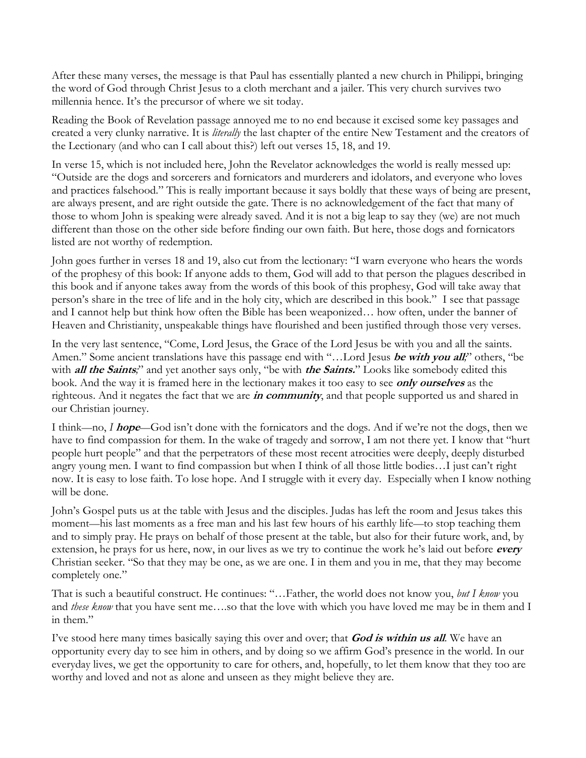After these many verses, the message is that Paul has essentially planted a new church in Philippi, bringing the word of God through Christ Jesus to a cloth merchant and a jailer. This very church survives two millennia hence. It's the precursor of where we sit today.

Reading the Book of Revelation passage annoyed me to no end because it excised some key passages and created a very clunky narrative. It is *literally* the last chapter of the entire New Testament and the creators of the Lectionary (and who can I call about this?) left out verses 15, 18, and 19.

In verse 15, which is not included here, John the Revelator acknowledges the world is really messed up: "Outside are the dogs and sorcerers and fornicators and murderers and idolators, and everyone who loves and practices falsehood." This is really important because it says boldly that these ways of being are present, are always present, and are right outside the gate. There is no acknowledgement of the fact that many of those to whom John is speaking were already saved. And it is not a big leap to say they (we) are not much different than those on the other side before finding our own faith. But here, those dogs and fornicators listed are not worthy of redemption.

John goes further in verses 18 and 19, also cut from the lectionary: "I warn everyone who hears the words of the prophesy of this book: If anyone adds to them, God will add to that person the plagues described in this book and if anyone takes away from the words of this book of this prophesy, God will take away that person's share in the tree of life and in the holy city, which are described in this book." I see that passage and I cannot help but think how often the Bible has been weaponized… how often, under the banner of Heaven and Christianity, unspeakable things have flourished and been justified through those very verses.

In the very last sentence, "Come, Lord Jesus, the Grace of the Lord Jesus be with you and all the saints. Amen." Some ancient translations have this passage end with "…Lord Jesus **be with you all***;*" others, "be with **all the Saints**<sup>2</sup> and yet another says only, "be with **the Saints.**" Looks like somebody edited this book. And the way it is framed here in the lectionary makes it too easy to see **only ourselves** as the righteous. And it negates the fact that we are **in community**, and that people supported us and shared in our Christian journey.

I think—no, *I* **hope**—God isn't done with the fornicators and the dogs. And if we're not the dogs, then we have to find compassion for them. In the wake of tragedy and sorrow, I am not there yet. I know that "hurt people hurt people" and that the perpetrators of these most recent atrocities were deeply, deeply disturbed angry young men. I want to find compassion but when I think of all those little bodies…I just can't right now. It is easy to lose faith. To lose hope. And I struggle with it every day. Especially when I know nothing will be done.

John's Gospel puts us at the table with Jesus and the disciples. Judas has left the room and Jesus takes this moment—his last moments as a free man and his last few hours of his earthly life—to stop teaching them and to simply pray. He prays on behalf of those present at the table, but also for their future work, and, by extension, he prays for us here, now, in our lives as we try to continue the work he's laid out before **every** Christian seeker. "So that they may be one, as we are one. I in them and you in me, that they may become completely one."

That is such a beautiful construct. He continues: "…Father, the world does not know you, *but I know* you and *these know* that you have sent me….so that the love with which you have loved me may be in them and I in them."

I've stood here many times basically saying this over and over; that **God is within us all**. We have an opportunity every day to see him in others, and by doing so we affirm God's presence in the world. In our everyday lives, we get the opportunity to care for others, and, hopefully, to let them know that they too are worthy and loved and not as alone and unseen as they might believe they are.